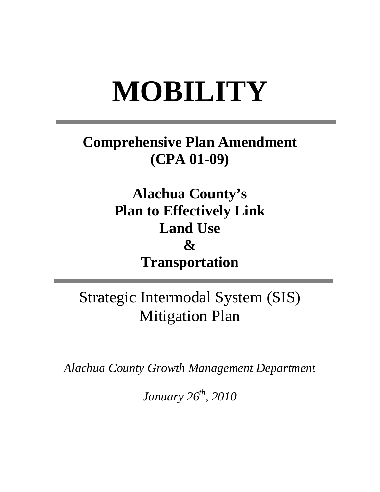## **MOBILITY**

## **Comprehensive Plan Amendment (CPA 01-09)**

**Alachua County's Plan to Effectively Link Land Use**   $\mathcal{X}$ **Transportation** 

Strategic Intermodal System (SIS) Mitigation Plan

*Alachua County Growth Management Department* 

*January 26th, 2010*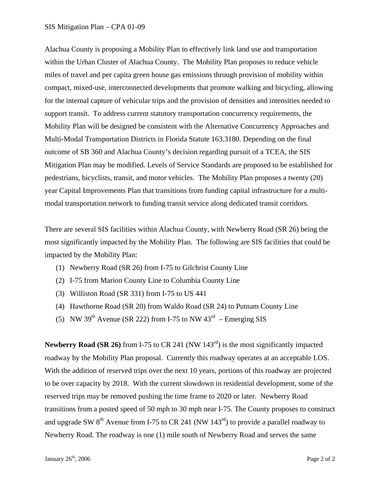## SIS Mitigation Plan – CPA 01-09

Alachua County is proposing a Mobility Plan to effectively link land use and transportation within the Urban Cluster of Alachua County. The Mobility Plan proposes to reduce vehicle miles of travel and per capita green house gas emissions through provision of mobility within compact, mixed-use, interconnected developments that promote walking and bicycling, allowing for the internal capture of vehicular trips and the provision of densities and intensities needed to support transit. To address current statutory transportation concurrency requirements, the Mobility Plan will be designed be consistent with the Alternative Concurrency Approaches and Multi-Modal Transportation Districts in Florida Statute 163.3180. Depending on the final outcome of SB 360 and Alachua County's decision regarding pursuit of a TCEA, the SIS Mitigation Plan may be modified. Levels of Service Standards are proposed to be established for pedestrians, bicyclists, transit, and motor vehicles. The Mobility Plan proposes a twenty (20) year Capital Improvements Plan that transitions from funding capital infrastructure for a multimodal transportation network to funding transit service along dedicated transit corridors.

There are several SIS facilities within Alachua County, with Newberry Road (SR 26) being the most significantly impacted by the Mobility Plan. The following are SIS facilities that could be impacted by the Mobility Plan:

- (1) Newberry Road (SR 26) from I-75 to Gilchrist County Line
- (2) I-75 from Marion County Line to Columbia County Line
- (3) Williston Road (SR 331) from I-75 to US 441
- (4) Hawthorne Road (SR 20) from Waldo Road (SR 24) to Putnam County Line
- (5) NW 39<sup>th</sup> Avenue (SR 222) from I-75 to NW  $43<sup>rd</sup>$  Emerging SIS

Newberry Road **(SR 26)** from I-75 to CR 241 (NW 143<sup>rd</sup>) is the most significantly impacted roadway by the Mobility Plan proposal. Currently this roadway operates at an acceptable LOS. With the addition of reserved trips over the next 10 years, portions of this roadway are projected to be over capacity by 2018. With the current slowdown in residential development, some of the reserved trips may be removed pushing the time frame to 2020 or later. Newberry Road transitions from a posted speed of 50 mph to 30 mph near I-75. The County proposes to construct and upgrade SW  $8<sup>th</sup>$  Avenue from I-75 to CR 241 (NW 143<sup>rd</sup>) to provide a parallel roadway to Newberry Road. The roadway is one (1) mile south of Newberry Road and serves the same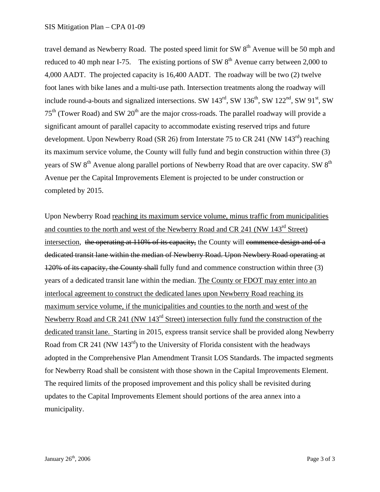travel demand as Newberry Road. The posted speed limit for SW  $8<sup>th</sup>$  Avenue will be 50 mph and reduced to 40 mph near I-75. The existing portions of SW  $8<sup>th</sup>$  Avenue carry between 2,000 to 4,000 AADT. The projected capacity is 16,400 AADT. The roadway will be two (2) twelve foot lanes with bike lanes and a multi-use path. Intersection treatments along the roadway will include round-a-bouts and signalized intersections. SW  $143^{rd}$ , SW  $136^{th}$ , SW  $122^{nd}$ , SW  $91^{st}$ , SW  $75<sup>th</sup>$  (Tower Road) and SW  $20<sup>th</sup>$  are the major cross-roads. The parallel roadway will provide a significant amount of parallel capacity to accommodate existing reserved trips and future development. Upon Newberry Road (SR 26) from Interstate 75 to CR 241 (NW 143<sup>rd</sup>) reaching its maximum service volume, the County will fully fund and begin construction within three (3) years of SW 8<sup>th</sup> Avenue along parallel portions of Newberry Road that are over capacity. SW 8<sup>th</sup> Avenue per the Capital Improvements Element is projected to be under construction or completed by 2015.

Upon Newberry Road reaching its maximum service volume, minus traffic from municipalities and counties to the north and west of the Newberry Road and CR 241 (NW 143<sup>rd</sup> Street) intersection, the operating at 110% of its capacity, the County will commence design and of a dedicated transit lane within the median of Newberry Road. Upon Newbery Road operating at 120% of its capacity, the County shall fully fund and commence construction within three (3) years of a dedicated transit lane within the median. The County or FDOT may enter into an interlocal agreement to construct the dedicated lanes upon Newberry Road reaching its maximum service volume, if the municipalities and counties to the north and west of the Newberry Road and CR 241 (NW 143<sup>rd</sup> Street) intersection fully fund the construction of the dedicated transit lane. Starting in 2015, express transit service shall be provided along Newberry Road from CR 241 (NW  $143<sup>rd</sup>$ ) to the University of Florida consistent with the headways adopted in the Comprehensive Plan Amendment Transit LOS Standards. The impacted segments for Newberry Road shall be consistent with those shown in the Capital Improvements Element. The required limits of the proposed improvement and this policy shall be revisited during updates to the Capital Improvements Element should portions of the area annex into a municipality.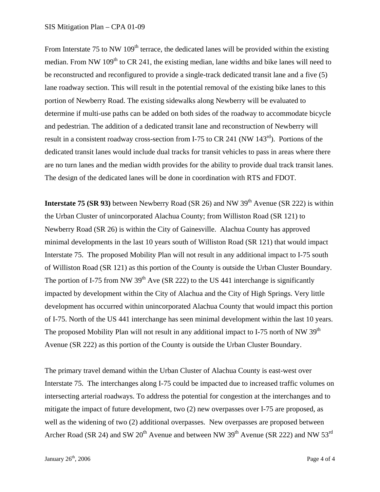From Interstate 75 to NW  $109<sup>th</sup>$  terrace, the dedicated lanes will be provided within the existing median. From NW  $109<sup>th</sup>$  to CR 241, the existing median, lane widths and bike lanes will need to be reconstructed and reconfigured to provide a single-track dedicated transit lane and a five (5) lane roadway section. This will result in the potential removal of the existing bike lanes to this portion of Newberry Road. The existing sidewalks along Newberry will be evaluated to determine if multi-use paths can be added on both sides of the roadway to accommodate bicycle and pedestrian. The addition of a dedicated transit lane and reconstruction of Newberry will result in a consistent roadway cross-section from I-75 to CR 241 (NW  $143<sup>rd</sup>$ ). Portions of the dedicated transit lanes would include dual tracks for transit vehicles to pass in areas where there are no turn lanes and the median width provides for the ability to provide dual track transit lanes. The design of the dedicated lanes will be done in coordination with RTS and FDOT.

**Interstate 75 <b>(SR 93)** between Newberry Road **(SR 26)** and NW 39<sup>th</sup> Avenue **(SR 222)** is within the Urban Cluster of unincorporated Alachua County; from Williston Road (SR 121) to Newberry Road (SR 26) is within the City of Gainesville. Alachua County has approved minimal developments in the last 10 years south of Williston Road (SR 121) that would impact Interstate 75. The proposed Mobility Plan will not result in any additional impact to I-75 south of Williston Road (SR 121) as this portion of the County is outside the Urban Cluster Boundary. The portion of I-75 from NW 39<sup>th</sup> Ave (SR 222) to the US 441 interchange is significantly impacted by development within the City of Alachua and the City of High Springs. Very little development has occurred within unincorporated Alachua County that would impact this portion of I-75. North of the US 441 interchange has seen minimal development within the last 10 years. The proposed Mobility Plan will not result in any additional impact to I-75 north of NW  $39<sup>th</sup>$ Avenue (SR 222) as this portion of the County is outside the Urban Cluster Boundary.

The primary travel demand within the Urban Cluster of Alachua County is east-west over Interstate 75. The interchanges along I-75 could be impacted due to increased traffic volumes on intersecting arterial roadways. To address the potential for congestion at the interchanges and to mitigate the impact of future development, two (2) new overpasses over I-75 are proposed, as well as the widening of two (2) additional overpasses. New overpasses are proposed between Archer Road (SR 24) and SW  $20^{th}$  Avenue and between NW 39<sup>th</sup> Avenue (SR 222) and NW 53<sup>rd</sup>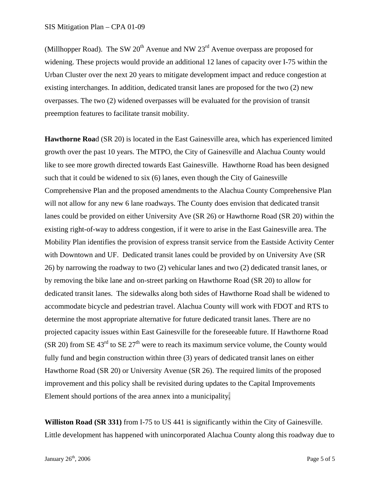(Millhopper Road). The SW  $20<sup>th</sup>$  Avenue and NW  $23<sup>rd</sup>$  Avenue overpass are proposed for widening. These projects would provide an additional 12 lanes of capacity over I-75 within the Urban Cluster over the next 20 years to mitigate development impact and reduce congestion at existing interchanges. In addition, dedicated transit lanes are proposed for the two (2) new overpasses. The two (2) widened overpasses will be evaluated for the provision of transit preemption features to facilitate transit mobility.

**Hawthorne Roa**d (SR 20) is located in the East Gainesville area, which has experienced limited growth over the past 10 years. The MTPO, the City of Gainesville and Alachua County would like to see more growth directed towards East Gainesville. Hawthorne Road has been designed such that it could be widened to six (6) lanes, even though the City of Gainesville Comprehensive Plan and the proposed amendments to the Alachua County Comprehensive Plan will not allow for any new 6 lane roadways. The County does envision that dedicated transit lanes could be provided on either University Ave (SR 26) or Hawthorne Road (SR 20) within the existing right-of-way to address congestion, if it were to arise in the East Gainesville area. The Mobility Plan identifies the provision of express transit service from the Eastside Activity Center with Downtown and UF. Dedicated transit lanes could be provided by on University Ave (SR 26) by narrowing the roadway to two (2) vehicular lanes and two (2) dedicated transit lanes, or by removing the bike lane and on-street parking on Hawthorne Road (SR 20) to allow for dedicated transit lanes. The sidewalks along both sides of Hawthorne Road shall be widened to accommodate bicycle and pedestrian travel. Alachua County will work with FDOT and RTS to determine the most appropriate alternative for future dedicated transit lanes. There are no projected capacity issues within East Gainesville for the foreseeable future. If Hawthorne Road (SR 20) from SE  $43<sup>rd</sup>$  to SE  $27<sup>th</sup>$  were to reach its maximum service volume, the County would fully fund and begin construction within three (3) years of dedicated transit lanes on either Hawthorne Road (SR 20) or University Avenue (SR 26). The required limits of the proposed improvement and this policy shall be revisited during updates to the Capital Improvements Element should portions of the area annex into a municipality.

**Williston Road (SR 331)** from I-75 to US 441 is significantly within the City of Gainesville. Little development has happened with unincorporated Alachua County along this roadway due to